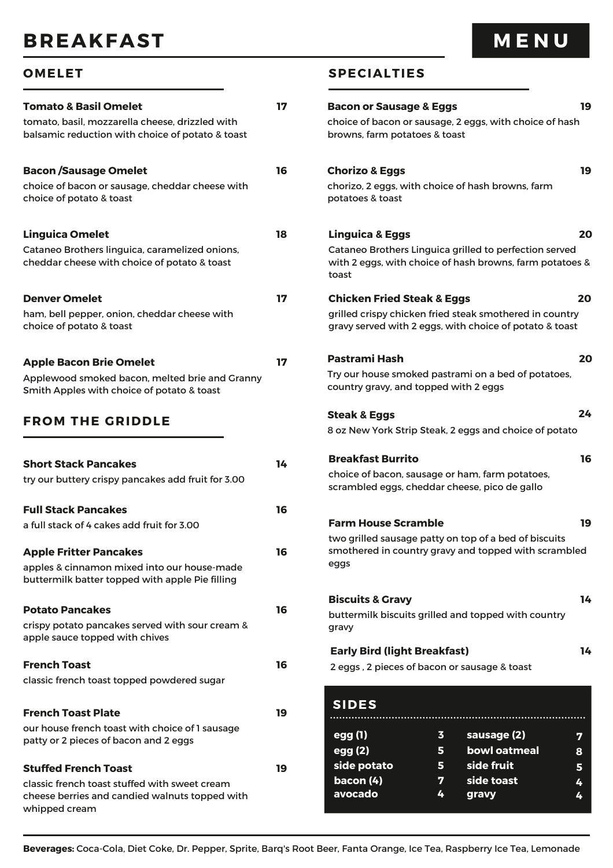# **BREAKFAST**

| <b>Tomato &amp; Basil Omelet</b><br>tomato, basil, mozzarella cheese, drizzled with<br>balsamic reduction with choice of potato & toast         | 17 | Bao<br>cho<br>bro           |
|-------------------------------------------------------------------------------------------------------------------------------------------------|----|-----------------------------|
| <b>Bacon /Sausage Omelet</b><br>choice of bacon or sausage, cheddar cheese with<br>choice of potato & toast                                     | 16 | Cho<br>cho<br>pot           |
| <b>Linguica Omelet</b><br>Cataneo Brothers linguica, caramelized onions,<br>cheddar cheese with choice of potato & toast                        | 18 | Lin<br>Cat<br>wit<br>toa    |
| <b>Denver Omelet</b><br>ham, bell pepper, onion, cheddar cheese with<br>choice of potato & toast                                                | 17 | Chi<br>gril<br>gra          |
| <b>Apple Bacon Brie Omelet</b><br>Applewood smoked bacon, melted brie and Granny<br>Smith Apples with choice of potato & toast                  | 17 | Pas<br><b>Try</b><br>cou    |
| <b>FROM THE GRIDDLE</b>                                                                                                                         |    | Ste<br>8 oz                 |
| <b>Short Stack Pancakes</b><br>try our buttery crispy pancakes add fruit for 3.00                                                               | 14 | Bre<br>chc<br>scra          |
| <b>Full Stack Pancakes</b><br>a full stack of 4 cakes add fruit for 3.00                                                                        | 16 | Far<br>twc                  |
| <b>Apple Fritter Pancakes</b><br>apples & cinnamon mixed into our house-made<br>buttermilk batter topped with apple Pie filling                 | 16 | sm<br>egg                   |
| <b>Potato Pancakes</b><br>crispy potato pancakes served with sour cream &<br>apple sauce topped with chives                                     | 16 | Bis<br>but<br>gra           |
| <b>French Toast</b><br>classic french toast topped powdered sugar                                                                               | 16 | Ea<br>2 e                   |
| <b>French Toast Plate</b><br>our house french toast with choice of 1 sausage<br>patty or 2 pieces of bacon and 2 eggs                           | 19 | SI<br>eg                    |
| <b>Stuffed French Toast</b><br>classic french toast stuffed with sweet cream<br>cheese berries and candied walnuts topped with<br>whipped cream | 19 | eg<br><u>si</u><br>ba<br>av |

### **OMELET SPECIALTIES**

| <b>Bacon or Sausage &amp; Eggs</b>                                                               |         |                                                                                                                    | 19     |
|--------------------------------------------------------------------------------------------------|---------|--------------------------------------------------------------------------------------------------------------------|--------|
| browns, farm potatoes & toast                                                                    |         | choice of bacon or sausage, 2 eggs, with choice of hash                                                            |        |
| <b>Chorizo &amp; Eggs</b><br>potatoes & toast                                                    |         | chorizo, 2 eggs, with choice of hash browns, farm                                                                  | 19     |
| <b>Linguica &amp; Eggs</b>                                                                       |         |                                                                                                                    | 20     |
| toast                                                                                            |         | Cataneo Brothers Linguica grilled to perfection served<br>with 2 eggs, with choice of hash browns, farm potatoes & |        |
| <b>Chicken Fried Steak &amp; Eggs</b>                                                            |         |                                                                                                                    | 20     |
|                                                                                                  |         | grilled crispy chicken fried steak smothered in country<br>gravy served with 2 eggs, with choice of potato & toast |        |
| <b>Pastrami Hash</b>                                                                             |         |                                                                                                                    | 20     |
| country gravy, and topped with 2 eggs                                                            |         | Try our house smoked pastrami on a bed of potatoes,                                                                |        |
| <b>Steak &amp; Eggs</b>                                                                          |         |                                                                                                                    | 24     |
|                                                                                                  |         | 8 oz New York Strip Steak, 2 eggs and choice of potato                                                             |        |
| <b>Breakfast Burrito</b>                                                                         |         |                                                                                                                    | 16     |
| choice of bacon, sausage or ham, farm potatoes,<br>scrambled eggs, cheddar cheese, pico de gallo |         |                                                                                                                    |        |
| <b>Farm House Scramble</b>                                                                       |         |                                                                                                                    | 19     |
| eggs                                                                                             |         | two grilled sausage patty on top of a bed of biscuits<br>smothered in country gravy and topped with scrambled      |        |
| <b>Biscuits &amp; Gravy</b>                                                                      |         |                                                                                                                    | 14     |
| gravy                                                                                            |         | buttermilk biscuits grilled and topped with country                                                                |        |
| <b>Early Bird (light Breakfast)</b>                                                              |         |                                                                                                                    | 14     |
| 2 eggs, 2 pieces of bacon or sausage & toast                                                     |         |                                                                                                                    |        |
| <b>SIDES</b>                                                                                     |         |                                                                                                                    |        |
| egg (1)                                                                                          | 3       | sausage (2)                                                                                                        | 7      |
| egg (2)                                                                                          | 5.      | bowl oatmeal                                                                                                       | 8      |
| side potato<br>bacon(4)                                                                          | 5.<br>7 | side fruit<br>side toast                                                                                           | 5      |
| avocado                                                                                          | 4       | gravy                                                                                                              | 4<br>4 |

**Beverages:** Coca-Cola, Diet Coke, Dr. Pepper, Sprite, Barq's Root Beer, Fanta Orange, Ice Tea, Raspberry Ice Tea, Lemonade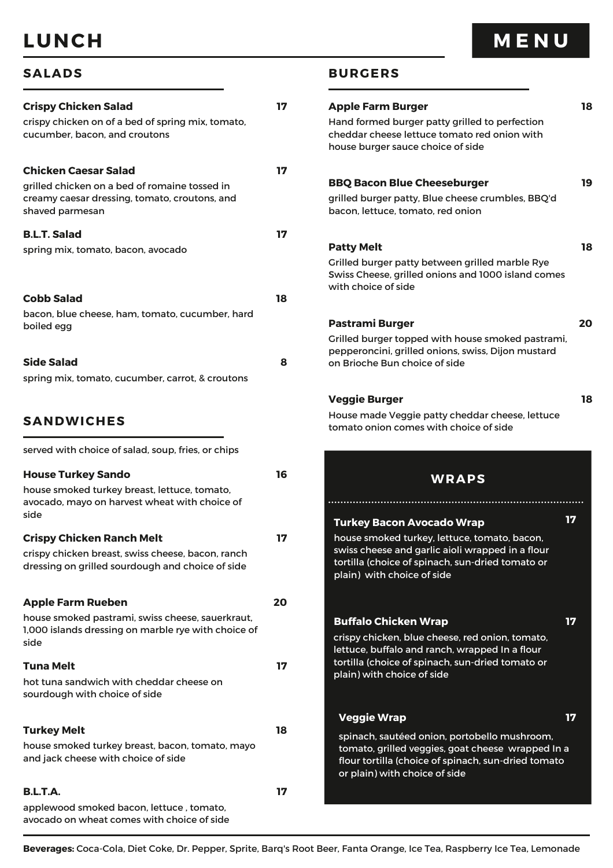# **LUNCH**

# **M E N U**

**18**

**19**

**18**

**20**

**18**

**17**

**17**

**17**

| <b>Crispy Chicken Salad</b>                                                                                                               | 17 | <b>Apple Farm Burger</b>                                                                                                                                                           |
|-------------------------------------------------------------------------------------------------------------------------------------------|----|------------------------------------------------------------------------------------------------------------------------------------------------------------------------------------|
| crispy chicken on of a bed of spring mix, tomato,<br>cucumber, bacon, and croutons                                                        |    | Hand formed burger patty grilled to perfection<br>cheddar cheese lettuce tomato red onion with<br>house burger sauce choice of side                                                |
| <b>Chicken Caesar Salad</b>                                                                                                               | 17 |                                                                                                                                                                                    |
| grilled chicken on a bed of romaine tossed in                                                                                             |    | <b>BBQ Bacon Blue Cheeseburger</b>                                                                                                                                                 |
| creamy caesar dressing, tomato, croutons, and<br>shaved parmesan                                                                          |    | grilled burger patty, Blue cheese crumbles, BBQ'd<br>bacon, lettuce, tomato, red onion                                                                                             |
| <b>B.L.T. Salad</b>                                                                                                                       | 17 |                                                                                                                                                                                    |
| spring mix, tomato, bacon, avocado                                                                                                        |    | <b>Patty Melt</b>                                                                                                                                                                  |
|                                                                                                                                           |    | Grilled burger patty between grilled marble Rye<br>Swiss Cheese, grilled onions and 1000 island comes<br>with choice of side                                                       |
| <b>Cobb Salad</b>                                                                                                                         | 18 |                                                                                                                                                                                    |
| bacon, blue cheese, ham, tomato, cucumber, hard                                                                                           |    | <b>Pastrami Burger</b>                                                                                                                                                             |
| boiled egg                                                                                                                                |    | Grilled burger topped with house smoked pastrami,                                                                                                                                  |
|                                                                                                                                           |    | pepperoncini, grilled onions, swiss, Dijon mustard                                                                                                                                 |
| <b>Side Salad</b><br>spring mix, tomato, cucumber, carrot, & croutons                                                                     | 8  | on Brioche Bun choice of side                                                                                                                                                      |
|                                                                                                                                           |    |                                                                                                                                                                                    |
|                                                                                                                                           |    | <b>Veggie Burger</b>                                                                                                                                                               |
| <b>SANDWICHES</b>                                                                                                                         |    | House made Veggie patty cheddar cheese, lettuce<br>tomato onion comes with choice of side                                                                                          |
| served with choice of salad, soup, fries, or chips                                                                                        |    |                                                                                                                                                                                    |
| <b>House Turkey Sando</b>                                                                                                                 | 16 | <b>WRAPS</b>                                                                                                                                                                       |
| house smoked turkey breast, lettuce, tomato,                                                                                              |    |                                                                                                                                                                                    |
| avocado, mayo on harvest wheat with choice of<br>side                                                                                     |    |                                                                                                                                                                                    |
|                                                                                                                                           |    | <b>Turkey Bacon Avocado Wrap</b>                                                                                                                                                   |
| <b>Crispy Chicken Ranch Melt</b><br>crispy chicken breast, swiss cheese, bacon, ranch<br>dressing on grilled sourdough and choice of side | 17 | house smoked turkey, lettuce, tomato, bacon,<br>swiss cheese and garlic aioli wrapped in a flour<br>tortilla (choice of spinach, sun-dried tomato or<br>plain) with choice of side |
| <b>Apple Farm Rueben</b>                                                                                                                  | 20 |                                                                                                                                                                                    |
| house smoked pastrami, swiss cheese, sauerkraut,                                                                                          |    | <b>Buffalo Chicken Wrap</b>                                                                                                                                                        |
| 1,000 islands dressing on marble rye with choice of<br>side                                                                               |    | crispy chicken, blue cheese, red onion, tomato,                                                                                                                                    |
|                                                                                                                                           |    | lettuce, buffalo and ranch, wrapped In a flour<br>tortilla (choice of spinach, sun-dried tomato or                                                                                 |
| <b>Tuna Melt</b><br>hot tuna sandwich with cheddar cheese on                                                                              | 17 | plain) with choice of side                                                                                                                                                         |
| sourdough with choice of side                                                                                                             |    |                                                                                                                                                                                    |
|                                                                                                                                           |    | <b>Veggie Wrap</b>                                                                                                                                                                 |
| <b>Turkey Melt</b><br>house smoked turkey breast, bacon, tomato, mayo                                                                     | 18 | spinach, sautéed onion, portobello mushroom,                                                                                                                                       |
| and jack cheese with choice of side                                                                                                       |    | tomato, grilled veggies, goat cheese wrapped In a<br>flour tortilla (choice of spinach, sun-dried tomato<br>or plain) with choice of side                                          |
| <b>B.L.T.A.</b>                                                                                                                           | 17 |                                                                                                                                                                                    |
|                                                                                                                                           |    |                                                                                                                                                                                    |
| applewood smoked bacon, lettuce, tomato,<br>avocado on wheat comes with choice of side                                                    |    |                                                                                                                                                                                    |

**SALADS BURGERS**

**Beverages:** Coca-Cola, Diet Coke, Dr. Pepper, Sprite, Barq's Root Beer, Fanta Orange, Ice Tea, Raspberry Ice Tea, Lemonade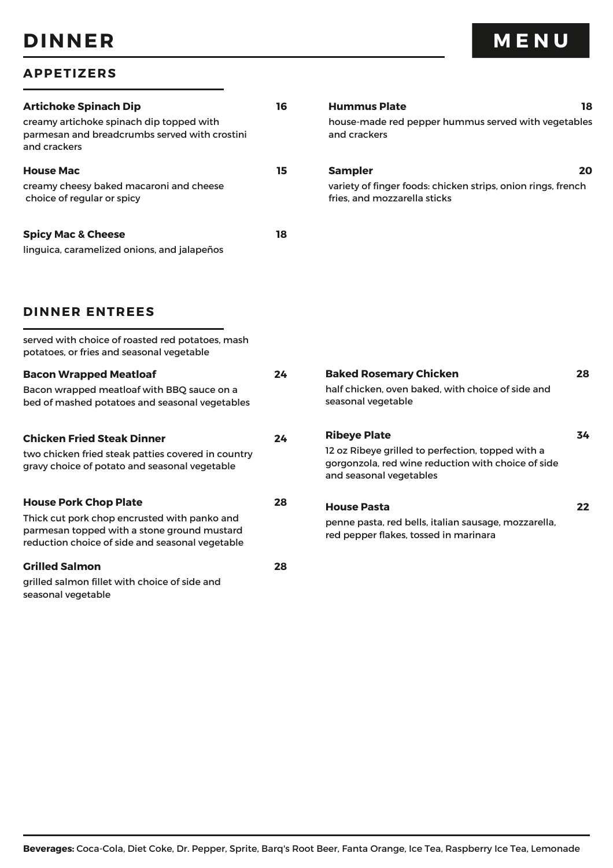# **DINNER**

| <b>Artichoke Spinach Dip</b><br>creamy artichoke spinach dip topped with<br>parmesan and breadcrumbs served with crostini<br>and crackers                                      | 16 | <b>Hummus Plate</b><br>18<br>house-made red pepper hummus served with vegetables<br>and crackers                                                          |    |
|--------------------------------------------------------------------------------------------------------------------------------------------------------------------------------|----|-----------------------------------------------------------------------------------------------------------------------------------------------------------|----|
| <b>House Mac</b><br>creamy cheesy baked macaroni and cheese<br>choice of regular or spicy                                                                                      | 15 | <b>Sampler</b><br>20<br>variety of finger foods: chicken strips, onion rings, french<br>fries, and mozzarella sticks                                      |    |
| <b>Spicy Mac &amp; Cheese</b><br>linguica, caramelized onions, and jalapeños                                                                                                   | 18 |                                                                                                                                                           |    |
| <b>DINNER ENTREES</b>                                                                                                                                                          |    |                                                                                                                                                           |    |
| served with choice of roasted red potatoes, mash<br>potatoes, or fries and seasonal vegetable                                                                                  |    |                                                                                                                                                           |    |
| <b>Bacon Wrapped Meatloaf</b><br>Bacon wrapped meatloaf with BBQ sauce on a<br>bed of mashed potatoes and seasonal vegetables                                                  | 24 | <b>Baked Rosemary Chicken</b><br>half chicken, oven baked, with choice of side and<br>seasonal vegetable                                                  | 28 |
| <b>Chicken Fried Steak Dinner</b><br>two chicken fried steak patties covered in country<br>gravy choice of potato and seasonal vegetable                                       | 24 | <b>Ribeye Plate</b><br>12 oz Ribeye grilled to perfection, topped with a<br>gorgonzola, red wine reduction with choice of side<br>and seasonal vegetables | 34 |
| <b>House Pork Chop Plate</b><br>Thick cut pork chop encrusted with panko and<br>parmesan topped with a stone ground mustard<br>reduction choice of side and seasonal vegetable | 28 | <b>House Pasta</b><br>penne pasta, red bells, italian sausage, mozzarella,<br>red pepper flakes, tossed in marinara                                       | 22 |
| <b>Grilled Salmon</b><br>grilled salmon fillet with choice of side and<br>seasonal vegetable                                                                                   | 28 |                                                                                                                                                           |    |